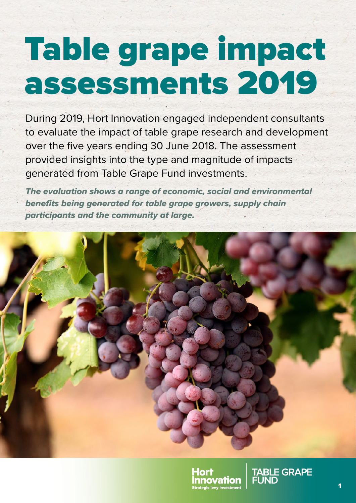# Table grape impact assessments 2019

During 2019, Hort Innovation engaged independent consultants to evaluate the impact of table grape research and development over the five years ending 30 June 2018. The assessment provided insights into the type and magnitude of impacts generated from Table Grape Fund investments.

*The evaluation shows a range of economic, social and environmental benefits being generated for table grape growers, supply chain participants and the community at large.*





**TABLE GRAPE**<br>FUND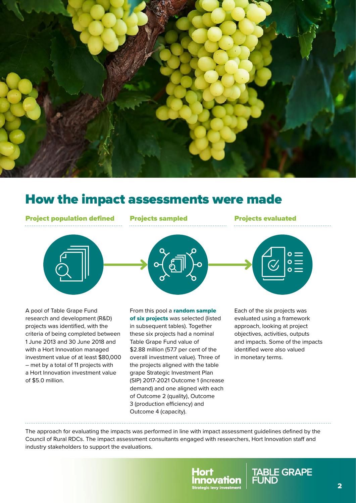

# How the impact assessments were made

Project population defined Projects sampled Projects evaluated



A pool of Table Grape Fund research and development (R&D) projects was identified, with the criteria of being completed between 1 June 2013 and 30 June 2018 and with a Hort Innovation managed investment value of at least \$80,000 – met by a total of 11 projects with a Hort Innovation investment value of \$5.0 million.

From this pool a random sample of six projects was selected (listed in subsequent tables). Together these six projects had a nominal Table Grape Fund value of \$2.88 million (57.7 per cent of the overall investment value). Three of the projects aligned with the table grape Strategic Investment Plan (SIP) 2017-2021 Outcome 1 (increase demand) and one aligned with each of Outcome 2 (quality), Outcome 3 (production efficiency) and Outcome 4 (capacity).

 $\circ =$ 

Each of the six projects was evaluated using a framework approach, looking at project objectives, activities, outputs and impacts. Some of the impacts identified were also valued in monetary terms.

The approach for evaluating the impacts was performed in line with impact assessment guidelines defined by the Council of Rural RDCs. The impact assessment consultants engaged with researchers, Hort Innovation staff and industry stakeholders to support the evaluations.



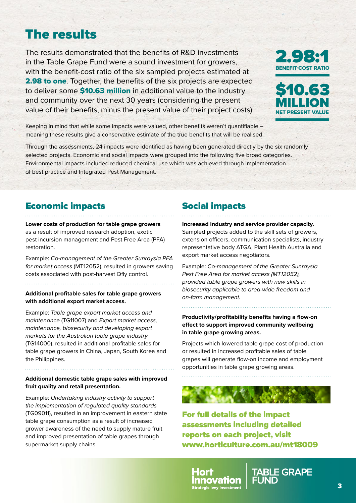# The results

The results demonstrated that the benefits of R&D investments in the Table Grape Fund were a sound investment for growers, with the benefit-cost ratio of the six sampled projects estimated at **2.98 to one.** Together, the benefits of the six projects are expected to deliver some **\$10.63 million** in additional value to the industry and community over the next 30 years (considering the present value of their benefits, minus the present value of their project costs).





Keeping in mind that while some impacts were valued, other benefits weren't quantifiable – meaning these results give a conservative estimate of the true benefits that will be realised.

Through the assessments, 24 impacts were identified as having been generated directly by the six randomly selected projects. Economic and social impacts were grouped into the following five broad categories. Environmental impacts included reduced chemical use which was achieved through implementation of best practice and Integrated Pest Management.

### Economic impacts

**Lower costs of production for table grape growers**  as a result of improved research adoption, exotic pest incursion management and Pest Free Area (PFA) restoration.

Example: *Co-management of the Greater Sunraysia PFA for market access* (MT12052), resulted in growers saving costs associated with post-harvest Qfly control.

#### **Additional profitable sales for table grape growers with additional export market access.**

Example: *Table grape export market access and maintenance* (TG11007) and *Export market access, maintenance, biosecurity and developing export markets for the Australian table grape industry*  (TG14000), resulted in additional profitable sales for table grape growers in China, Japan, South Korea and the Philippines.

#### **Additional domestic table grape sales with improved fruit quality and retail presentation.**

Example: *Undertaking industry activity to support the implementation of regulated quality standards* (TG09011), resulted in an improvement in eastern state table grape consumption as a result of increased grower awareness of the need to supply mature fruit and improved presentation of table grapes through supermarket supply chains.

## Social impacts

**Increased industry and service provider capacity.**  Sampled projects added to the skill sets of growers, extension officers, communication specialists, industry representative body ATGA, Plant Health Australia and export market access negotiators.

Example: *Co-management of the Greater Sunraysia Pest Free Area for market access (MT12052), provided table grape growers with new skills in biosecurity applicable to area-wide freedom and on-farm management.*

**Productivity/profitability benefits having a flow-on effect to support improved community wellbeing in table grape growing areas.**

Projects which lowered table grape cost of production or resulted in increased profitable sales of table grapes will generate flow-on income and employment opportunities in table grape growing areas.

For full details of the impact assessments including detailed reports on each project, visit [www.horticulture.com.au/mt18009](http://www.horticulture.com.au/mt18009)